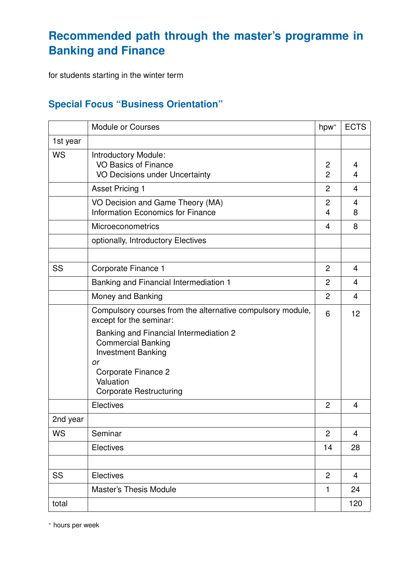## **Recommended path through the master's programme in Banking and Finance**

for students starting in the winter term

## **Special Focus "Business Orientation"**

|           | Module or Courses                                                                                                                                                            | hpw*                | <b>ECTS</b>             |
|-----------|------------------------------------------------------------------------------------------------------------------------------------------------------------------------------|---------------------|-------------------------|
| 1st year  |                                                                                                                                                                              |                     |                         |
| <b>WS</b> | <b>Introductory Module:</b><br><b>VO Basics of Finance</b><br>VO Decisions under Uncertainty                                                                                 | 2<br>$\overline{2}$ | 4<br>4                  |
|           | <b>Asset Pricing 1</b>                                                                                                                                                       | $\overline{2}$      | 4                       |
|           | VO Decision and Game Theory (MA)<br><b>Information Economics for Finance</b>                                                                                                 | 2<br>4              | 4<br>8                  |
|           | Microeconometrics                                                                                                                                                            | 4                   | 8                       |
|           | optionally, Introductory Electives                                                                                                                                           |                     |                         |
|           |                                                                                                                                                                              |                     |                         |
| SS        | Corporate Finance 1                                                                                                                                                          | $\overline{2}$      | $\overline{4}$          |
|           | Banking and Financial Intermediation 1                                                                                                                                       | $\overline{2}$      | $\overline{4}$          |
|           | Money and Banking                                                                                                                                                            | $\overline{2}$      | $\overline{\mathbf{4}}$ |
|           | Compulsory courses from the alternative compulsory module,<br>except for the seminar:                                                                                        | 6                   | 12                      |
|           | Banking and Financial Intermediation 2<br><b>Commercial Banking</b><br><b>Investment Banking</b><br>or<br>Corporate Finance 2<br>Valuation<br><b>Corporate Restructuring</b> |                     |                         |
|           | Electives                                                                                                                                                                    | $\overline{2}$      | 4                       |
| 2nd year  |                                                                                                                                                                              |                     |                         |
| <b>WS</b> | Seminar                                                                                                                                                                      | $\overline{2}$      | 4                       |
|           | <b>Electives</b>                                                                                                                                                             | 14                  | 28                      |
|           |                                                                                                                                                                              |                     |                         |
| <b>SS</b> | Electives                                                                                                                                                                    | $\overline{2}$      | $\overline{4}$          |
|           | <b>Master's Thesis Module</b>                                                                                                                                                | 1                   | 24                      |
| total     |                                                                                                                                                                              |                     | 120                     |

<sup>∗</sup> hours per week